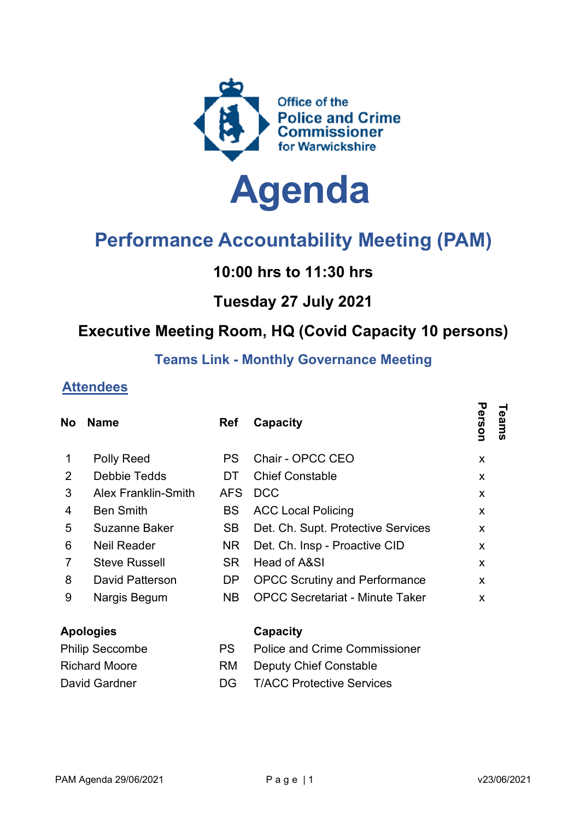

# Performance Accountability Meeting (PAM)

## 10:00 hrs to 11:30 hrs

#### Tuesday 27 July 2021

### Executive Meeting Room, HQ (Covid Capacity 10 persons)

#### Teams Link - Monthly Governance Meeting

#### Attendees

| <b>No</b>              | <b>Name</b>                | <b>Ref</b> | Capacity                               | Person<br>Teams |  |
|------------------------|----------------------------|------------|----------------------------------------|-----------------|--|
| 1                      | <b>Polly Reed</b>          | <b>PS</b>  | Chair - OPCC CEO                       | X               |  |
| $\overline{2}$         | Debbie Tedds               | DT         | <b>Chief Constable</b>                 | X               |  |
| 3                      | <b>Alex Franklin-Smith</b> | <b>AFS</b> | <b>DCC</b>                             | X               |  |
| 4                      | <b>Ben Smith</b>           | <b>BS</b>  | <b>ACC Local Policing</b>              | X               |  |
| 5                      | Suzanne Baker              | <b>SB</b>  | Det. Ch. Supt. Protective Services     | X               |  |
| 6                      | <b>Neil Reader</b>         | NR.        | Det. Ch. Insp - Proactive CID          | X               |  |
| 7                      | <b>Steve Russell</b>       | <b>SR</b>  | Head of A&SI                           | $\mathsf{x}$    |  |
| 8                      | David Patterson            | DP         | <b>OPCC Scrutiny and Performance</b>   | X               |  |
| 9                      | Nargis Begum               | NB.        | <b>OPCC Secretariat - Minute Taker</b> | X               |  |
| <b>Apologies</b>       |                            |            | Capacity                               |                 |  |
| <b>Philip Seccombe</b> |                            | <b>PS</b>  | <b>Police and Crime Commissioner</b>   |                 |  |
| <b>Richard Moore</b>   |                            | <b>RM</b>  | <b>Deputy Chief Constable</b>          |                 |  |
| David Gardner          |                            | DG         | <b>T/ACC Protective Services</b>       |                 |  |